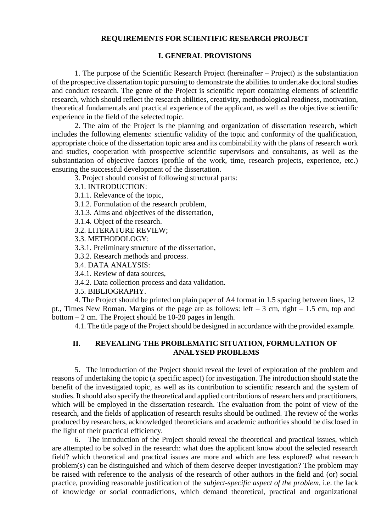## **REQUIREMENTS FOR SCIENTIFIC RESEARCH PROJECT**

# **I. GENERAL PROVISIONS**

1. The purpose of the Scientific Research Project (hereinafter – Project) is the substantiation of the prospective dissertation topic pursuing to demonstrate the abilities to undertake doctoral studies and conduct research. The genre of the Project is scientific report containing elements of scientific research, which should reflect the research abilities, creativity, methodological readiness, motivation, theoretical fundamentals and practical experience of the applicant, as well as the objective scientific experience in the field of the selected topic.

2. The aim of the Project is the planning and organization of dissertation research, which includes the following elements: scientific validity of the topic and conformity of the qualification, appropriate choice of the dissertation topic area and its combinability with the plans of research work and studies, cooperation with prospective scientific supervisors and consultants, as well as the substantiation of objective factors (profile of the work, time, research projects, experience, etc.) ensuring the successful development of the dissertation.

3. Project should consist of following structural parts:

3.1. INTRODUCTION:

3.1.1. Relevance of the topic,

- 3.1.2. Formulation of the research problem,
- 3.1.3. Aims and objectives of the dissertation,
- 3.1.4. Object of the research.
- 3.2. LITERATURE REVIEW;

3.3. METHODOLOGY:

3.3.1. Preliminary structure of the dissertation,

3.3.2. Research methods and process.

3.4. DATA ANALYSIS:

- 3.4.1. Review of data sources,
- 3.4.2. Data collection process and data validation.

3.5. BIBLIOGRAPHY.

4. The Project should be printed on plain paper of A4 format in 1.5 spacing between lines, 12 pt., Times New Roman. Margins of the page are as follows: left – 3 cm, right – 1.5 cm, top and bottom – 2 cm. The Project should be 10-20 pages in length.

4.1. The title page of the Project should be designed in accordance with the provided example.

## **II. REVEALING THE PROBLEMATIC SITUATION, FORMULATION OF ANALYSED PROBLEMS**

5. The introduction of the Project should reveal the level of exploration of the problem and reasons of undertaking the topic (a specific aspect) for investigation. The introduction should state the benefit of the investigated topic, as well as its contribution to scientific research and the system of studies. It should also specify the theoretical and applied contributions of researchers and practitioners, which will be employed in the dissertation research. The evaluation from the point of view of the research, and the fields of application of research results should be outlined. The review of the works produced by researchers, acknowledged theoreticians and academic authorities should be disclosed in the light of their practical efficiency.

6. The introduction of the Project should reveal the theoretical and practical issues, which are attempted to be solved in the research: what does the applicant know about the selected research field? which theoretical and practical issues are more and which are less explored? what research problem(s) can be distinguished and which of them deserve deeper investigation? The problem may be raised with reference to the analysis of the research of other authors in the field and (or) social practice, providing reasonable justification of the *subject-specific aspect of the problem,* i.e. the lack of knowledge or social contradictions, which demand theoretical, practical and organizational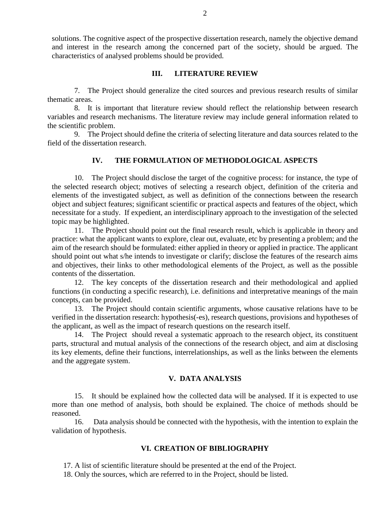solutions. The cognitive aspect of the prospective dissertation research, namely the objective demand and interest in the research among the concerned part of the society, should be argued. The characteristics of analysed problems should be provided.

#### **III. LITERATURE REVIEW**

7. The Project should generalize the cited sources and previous research results of similar thematic areas.

8. It is important that literature review should reflect the relationship between research variables and research mechanisms. The literature review may include general information related to the scientific problem.

9. The Project should define the criteria of selecting literature and data sources related to the field of the dissertation research.

## **IV. THE FORMULATION OF METHODOLOGICAL ASPECTS**

10. The Project should disclose the target of the cognitive process: for instance, the type of the selected research object; motives of selecting a research object, definition of the criteria and elements of the investigated subject, as well as definition of the connections between the research object and subject features; significant scientific or practical aspects and features of the object, which necessitate for a study. If expedient, an interdisciplinary approach to the investigation of the selected topic may be highlighted.

11. The Project should point out the final research result, which is applicable in theory and practice: what the applicant wants to explore, clear out, evaluate, etc by presenting a problem; and the aim of the research should be formulated: either applied in theory or applied in practice. The applicant should point out what s/he intends to investigate or clarify; disclose the features of the research aims and objectives, their links to other methodological elements of the Project, as well as the possible contents of the dissertation.

12. The key concepts of the dissertation research and their methodological and applied functions (in conducting a specific research), i.e. definitions and interpretative meanings of the main concepts, can be provided.

13. The Project should contain scientific arguments, whose causative relations have to be verified in the dissertation research: hypothesis(-es), research questions, provisions and hypotheses of the applicant, as well as the impact of research questions on the research itself.

14. The Project should reveal a systematic approach to the research object, its constituent parts, structural and mutual analysis of the connections of the research object, and aim at disclosing its key elements, define their functions, interrelationships, as well as the links between the elements and the aggregate system.

## **V. DATA ANALYSIS**

15. It should be explained how the collected data will be analysed. If it is expected to use more than one method of analysis, both should be explained. The choice of methods should be reasoned.

16. Data analysis should be connected with the hypothesis, with the intention to explain the validation of hypothesis.

## **VI. CREATION OF BIBLIOGRAPHY**

17. A list of scientific literature should be presented at the end of the Project.

18. Only the sources, which are referred to in the Project, should be listed.